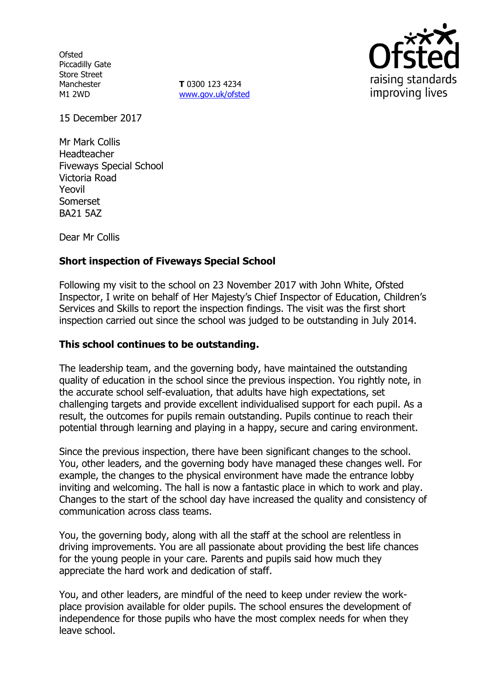**Ofsted** Piccadilly Gate Store Street Manchester M1 2WD

**T** 0300 123 4234 www.gov.uk/ofsted



15 December 2017

Mr Mark Collis Headteacher Fiveways Special School Victoria Road Yeovil Somerset BA21 5AZ

Dear Mr Collis

# **Short inspection of Fiveways Special School**

Following my visit to the school on 23 November 2017 with John White, Ofsted Inspector, I write on behalf of Her Majesty's Chief Inspector of Education, Children's Services and Skills to report the inspection findings. The visit was the first short inspection carried out since the school was judged to be outstanding in July 2014.

#### **This school continues to be outstanding.**

The leadership team, and the governing body, have maintained the outstanding quality of education in the school since the previous inspection. You rightly note, in the accurate school self-evaluation, that adults have high expectations, set challenging targets and provide excellent individualised support for each pupil. As a result, the outcomes for pupils remain outstanding. Pupils continue to reach their potential through learning and playing in a happy, secure and caring environment.

Since the previous inspection, there have been significant changes to the school. You, other leaders, and the governing body have managed these changes well. For example, the changes to the physical environment have made the entrance lobby inviting and welcoming. The hall is now a fantastic place in which to work and play. Changes to the start of the school day have increased the quality and consistency of communication across class teams.

You, the governing body, along with all the staff at the school are relentless in driving improvements. You are all passionate about providing the best life chances for the young people in your care. Parents and pupils said how much they appreciate the hard work and dedication of staff.

You, and other leaders, are mindful of the need to keep under review the workplace provision available for older pupils. The school ensures the development of independence for those pupils who have the most complex needs for when they leave school.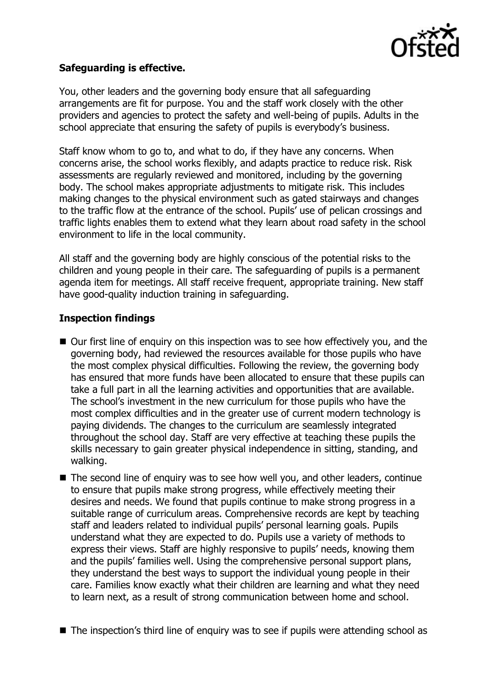

# **Safeguarding is effective.**

You, other leaders and the governing body ensure that all safeguarding arrangements are fit for purpose. You and the staff work closely with the other providers and agencies to protect the safety and well-being of pupils. Adults in the school appreciate that ensuring the safety of pupils is everybody's business.

Staff know whom to go to, and what to do, if they have any concerns. When concerns arise, the school works flexibly, and adapts practice to reduce risk. Risk assessments are regularly reviewed and monitored, including by the governing body. The school makes appropriate adjustments to mitigate risk. This includes making changes to the physical environment such as gated stairways and changes to the traffic flow at the entrance of the school. Pupils' use of pelican crossings and traffic lights enables them to extend what they learn about road safety in the school environment to life in the local community.

All staff and the governing body are highly conscious of the potential risks to the children and young people in their care. The safeguarding of pupils is a permanent agenda item for meetings. All staff receive frequent, appropriate training. New staff have good-quality induction training in safeguarding.

# **Inspection findings**

- Our first line of enguiry on this inspection was to see how effectively you, and the governing body, had reviewed the resources available for those pupils who have the most complex physical difficulties. Following the review, the governing body has ensured that more funds have been allocated to ensure that these pupils can take a full part in all the learning activities and opportunities that are available. The school's investment in the new curriculum for those pupils who have the most complex difficulties and in the greater use of current modern technology is paying dividends. The changes to the curriculum are seamlessly integrated throughout the school day. Staff are very effective at teaching these pupils the skills necessary to gain greater physical independence in sitting, standing, and walking.
- The second line of enquiry was to see how well you, and other leaders, continue to ensure that pupils make strong progress, while effectively meeting their desires and needs. We found that pupils continue to make strong progress in a suitable range of curriculum areas. Comprehensive records are kept by teaching staff and leaders related to individual pupils' personal learning goals. Pupils understand what they are expected to do. Pupils use a variety of methods to express their views. Staff are highly responsive to pupils' needs, knowing them and the pupils' families well. Using the comprehensive personal support plans, they understand the best ways to support the individual young people in their care. Families know exactly what their children are learning and what they need to learn next, as a result of strong communication between home and school.
- The inspection's third line of enquiry was to see if pupils were attending school as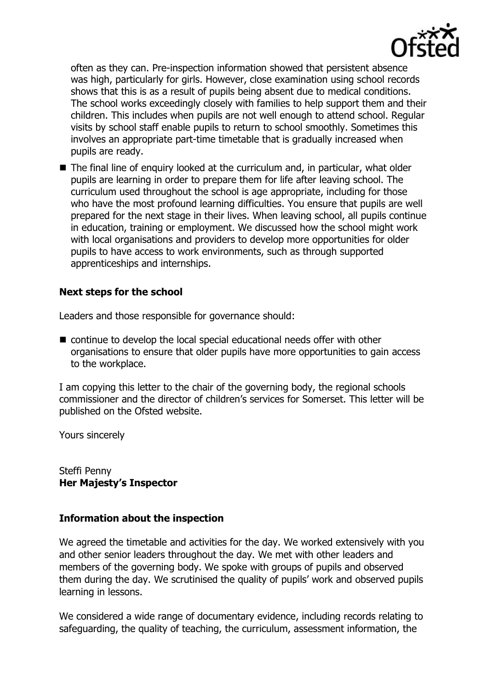

often as they can. Pre-inspection information showed that persistent absence was high, particularly for girls. However, close examination using school records shows that this is as a result of pupils being absent due to medical conditions. The school works exceedingly closely with families to help support them and their children. This includes when pupils are not well enough to attend school. Regular visits by school staff enable pupils to return to school smoothly. Sometimes this involves an appropriate part-time timetable that is gradually increased when pupils are ready.

■ The final line of enquiry looked at the curriculum and, in particular, what older pupils are learning in order to prepare them for life after leaving school. The curriculum used throughout the school is age appropriate, including for those who have the most profound learning difficulties. You ensure that pupils are well prepared for the next stage in their lives. When leaving school, all pupils continue in education, training or employment. We discussed how the school might work with local organisations and providers to develop more opportunities for older pupils to have access to work environments, such as through supported apprenticeships and internships.

### **Next steps for the school**

Leaders and those responsible for governance should:

 continue to develop the local special educational needs offer with other organisations to ensure that older pupils have more opportunities to gain access to the workplace.

I am copying this letter to the chair of the governing body, the regional schools commissioner and the director of children's services for Somerset. This letter will be published on the Ofsted website.

Yours sincerely

Steffi Penny **Her Majesty's Inspector**

### **Information about the inspection**

We agreed the timetable and activities for the day. We worked extensively with you and other senior leaders throughout the day. We met with other leaders and members of the governing body. We spoke with groups of pupils and observed them during the day. We scrutinised the quality of pupils' work and observed pupils learning in lessons.

We considered a wide range of documentary evidence, including records relating to safeguarding, the quality of teaching, the curriculum, assessment information, the